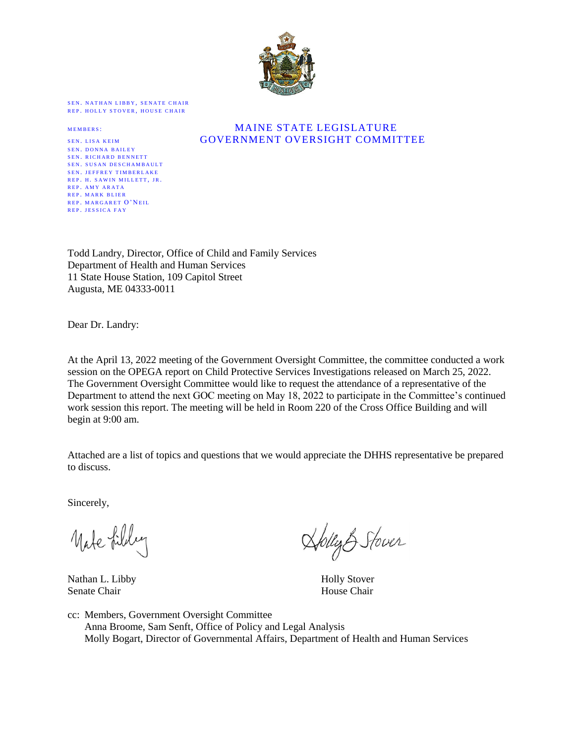

SEN. NATHAN LIBBY, SENATE CHAIR REP. HOLLY STOVER, HOUSE CHAIR

SEN. DONNA BAILEY SEN. RICHARD BENNETT SEN. SUSAN DESCHAMBAULT SEN. JEFFREY TIMBERLAKE REP. H. SAWIN MILLETT, JR. REP. AMY ARATA R E P M A R K B L I E R REP. MARGARET O'NEIL REP. JESSICA FAY

## MAINE STATE LEGISLATURE SEN. LISA KEIM GOVERNMENT OVERSIGHT COMMITTEE

Todd Landry, Director, Office of Child and Family Services Department of Health and Human Services 11 State House Station, 109 Capitol Street Augusta, ME 04333-0011

Dear Dr. Landry:

At the April 13, 2022 meeting of the Government Oversight Committee, the committee conducted a work session on the OPEGA report on Child Protective Services Investigations released on March 25, 2022. The Government Oversight Committee would like to request the attendance of a representative of the Department to attend the next GOC meeting on May 18, 2022 to participate in the Committee's continued work session this report. The meeting will be held in Room 220 of the Cross Office Building and will begin at 9:00 am.

Attached are a list of topics and questions that we would appreciate the DHHS representative be prepared to discuss.

Sincerely,

Mate filly

Nathan L. Libby Holly Stover Senate Chair **House Chair House Chair House Chair** 

folly & Stover

cc: Members, Government Oversight Committee Anna Broome, Sam Senft, Office of Policy and Legal Analysis Molly Bogart, Director of Governmental Affairs, Department of Health and Human Services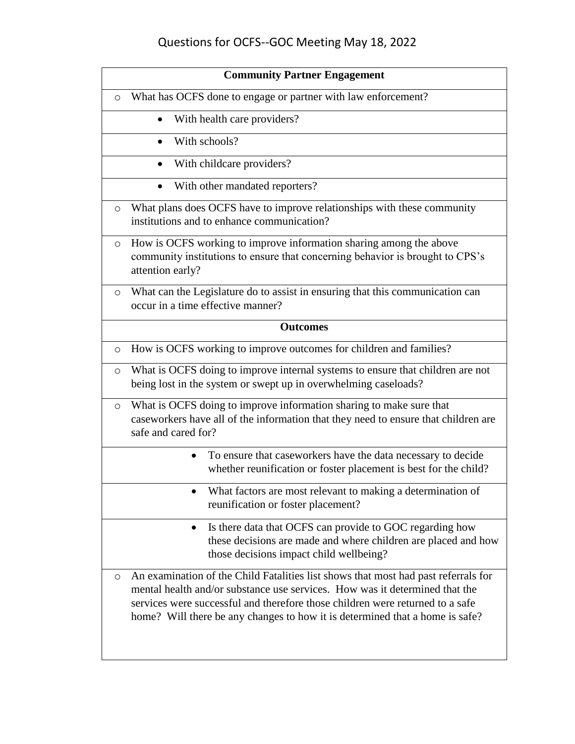## Questions for OCFS--GOC Meeting May 18, 2022

| <b>Community Partner Engagement</b>                                                                                                                                                                                                                                                                                                           |
|-----------------------------------------------------------------------------------------------------------------------------------------------------------------------------------------------------------------------------------------------------------------------------------------------------------------------------------------------|
| What has OCFS done to engage or partner with law enforcement?<br>$\circ$                                                                                                                                                                                                                                                                      |
| With health care providers?<br>$\bullet$                                                                                                                                                                                                                                                                                                      |
| With schools?<br>$\bullet$                                                                                                                                                                                                                                                                                                                    |
| With childcare providers?<br>$\bullet$                                                                                                                                                                                                                                                                                                        |
| With other mandated reporters?<br>$\bullet$                                                                                                                                                                                                                                                                                                   |
| What plans does OCFS have to improve relationships with these community<br>$\circ$<br>institutions and to enhance communication?                                                                                                                                                                                                              |
| How is OCFS working to improve information sharing among the above<br>$\circ$<br>community institutions to ensure that concerning behavior is brought to CPS's<br>attention early?                                                                                                                                                            |
| What can the Legislature do to assist in ensuring that this communication can<br>$\circ$<br>occur in a time effective manner?                                                                                                                                                                                                                 |
| <b>Outcomes</b>                                                                                                                                                                                                                                                                                                                               |
| How is OCFS working to improve outcomes for children and families?<br>$\circ$                                                                                                                                                                                                                                                                 |
| What is OCFS doing to improve internal systems to ensure that children are not<br>$\circ$<br>being lost in the system or swept up in overwhelming caseloads?                                                                                                                                                                                  |
| What is OCFS doing to improve information sharing to make sure that<br>$\circ$<br>caseworkers have all of the information that they need to ensure that children are<br>safe and cared for?                                                                                                                                                   |
| To ensure that caseworkers have the data necessary to decide<br>$\bullet$<br>whether reunification or foster placement is best for the child?                                                                                                                                                                                                 |
| What factors are most relevant to making a determination of<br>reunification or foster placement?                                                                                                                                                                                                                                             |
| Is there data that OCFS can provide to GOC regarding how<br>$\bullet$<br>these decisions are made and where children are placed and how<br>those decisions impact child wellbeing?                                                                                                                                                            |
| An examination of the Child Fatalities list shows that most had past referrals for<br>$\circ$<br>mental health and/or substance use services. How was it determined that the<br>services were successful and therefore those children were returned to a safe<br>home? Will there be any changes to how it is determined that a home is safe? |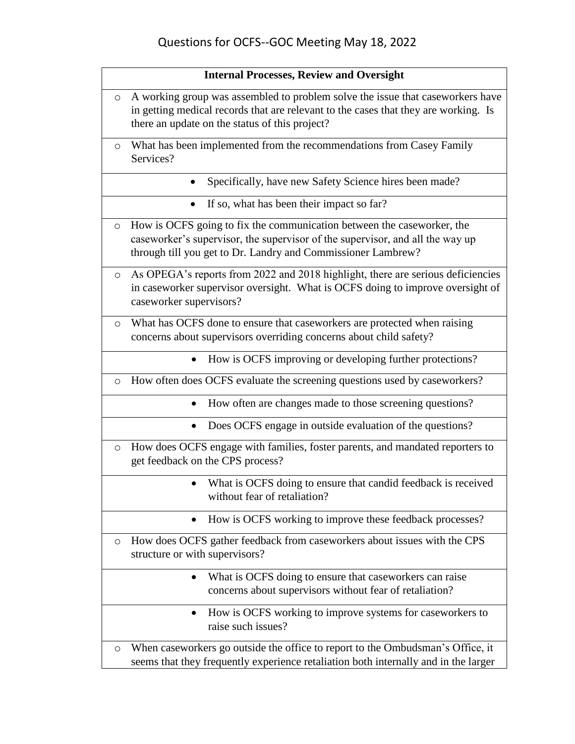|         | <b>Internal Processes, Review and Oversight</b>                                                                                                                                                                         |
|---------|-------------------------------------------------------------------------------------------------------------------------------------------------------------------------------------------------------------------------|
| $\circ$ | A working group was assembled to problem solve the issue that caseworkers have<br>in getting medical records that are relevant to the cases that they are working. Is<br>there an update on the status of this project? |
| $\circ$ | What has been implemented from the recommendations from Casey Family<br>Services?                                                                                                                                       |
|         | Specifically, have new Safety Science hires been made?<br>$\bullet$                                                                                                                                                     |
|         | If so, what has been their impact so far?<br>$\bullet$                                                                                                                                                                  |
| $\circ$ | How is OCFS going to fix the communication between the caseworker, the<br>caseworker's supervisor, the supervisor of the supervisor, and all the way up<br>through till you get to Dr. Landry and Commissioner Lambrew? |
| $\circ$ | As OPEGA's reports from 2022 and 2018 highlight, there are serious deficiencies<br>in caseworker supervisor oversight. What is OCFS doing to improve oversight of<br>caseworker supervisors?                            |
| $\circ$ | What has OCFS done to ensure that caseworkers are protected when raising<br>concerns about supervisors overriding concerns about child safety?                                                                          |
|         | How is OCFS improving or developing further protections?<br>$\bullet$                                                                                                                                                   |
| $\circ$ | How often does OCFS evaluate the screening questions used by caseworkers?                                                                                                                                               |
|         | How often are changes made to those screening questions?<br>$\bullet$                                                                                                                                                   |
|         | Does OCFS engage in outside evaluation of the questions?<br>$\bullet$                                                                                                                                                   |
| $\circ$ | How does OCFS engage with families, foster parents, and mandated reporters to<br>get feedback on the CPS process?                                                                                                       |
|         | What is OCFS doing to ensure that candid feedback is received<br>without fear of retaliation?                                                                                                                           |
|         | How is OCFS working to improve these feedback processes?                                                                                                                                                                |
| O       | How does OCFS gather feedback from caseworkers about issues with the CPS<br>structure or with supervisors?                                                                                                              |
|         | What is OCFS doing to ensure that caseworkers can raise<br>concerns about supervisors without fear of retaliation?                                                                                                      |
|         | How is OCFS working to improve systems for caseworkers to<br>raise such issues?                                                                                                                                         |
| O       | When caseworkers go outside the office to report to the Ombudsman's Office, it<br>seems that they frequently experience retaliation both internally and in the larger                                                   |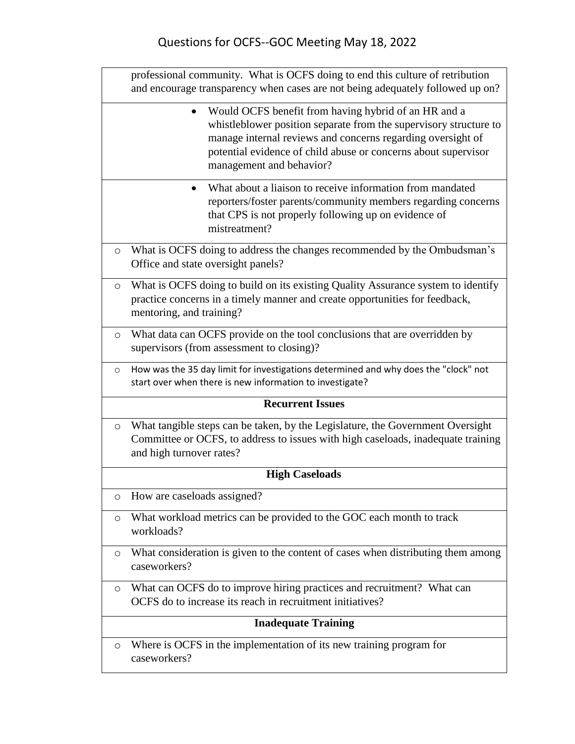|                            | professional community. What is OCFS doing to end this culture of retribution<br>and encourage transparency when cases are not being adequately followed up on?                                                                                                                          |  |
|----------------------------|------------------------------------------------------------------------------------------------------------------------------------------------------------------------------------------------------------------------------------------------------------------------------------------|--|
|                            | • Would OCFS benefit from having hybrid of an HR and a<br>whistleblower position separate from the supervisory structure to<br>manage internal reviews and concerns regarding oversight of<br>potential evidence of child abuse or concerns about supervisor<br>management and behavior? |  |
|                            | What about a liaison to receive information from mandated<br>$\bullet$<br>reporters/foster parents/community members regarding concerns<br>that CPS is not properly following up on evidence of<br>mistreatment?                                                                         |  |
| $\circ$                    | What is OCFS doing to address the changes recommended by the Ombudsman's<br>Office and state oversight panels?                                                                                                                                                                           |  |
| $\circ$                    | What is OCFS doing to build on its existing Quality Assurance system to identify<br>practice concerns in a timely manner and create opportunities for feedback,<br>mentoring, and training?                                                                                              |  |
| $\circ$                    | What data can OCFS provide on the tool conclusions that are overridden by<br>supervisors (from assessment to closing)?                                                                                                                                                                   |  |
| $\circ$                    | How was the 35 day limit for investigations determined and why does the "clock" not<br>start over when there is new information to investigate?                                                                                                                                          |  |
|                            | <b>Recurrent Issues</b>                                                                                                                                                                                                                                                                  |  |
| $\circ$                    | What tangible steps can be taken, by the Legislature, the Government Oversight<br>Committee or OCFS, to address to issues with high caseloads, inadequate training<br>and high turnover rates?                                                                                           |  |
|                            | <b>High Caseloads</b>                                                                                                                                                                                                                                                                    |  |
| O                          | How are caseloads assigned?                                                                                                                                                                                                                                                              |  |
| $\circ$                    | What workload metrics can be provided to the GOC each month to track<br>workloads?                                                                                                                                                                                                       |  |
| $\circ$                    | What consideration is given to the content of cases when distributing them among<br>caseworkers?                                                                                                                                                                                         |  |
| O                          | What can OCFS do to improve hiring practices and recruitment? What can<br>OCFS do to increase its reach in recruitment initiatives?                                                                                                                                                      |  |
| <b>Inadequate Training</b> |                                                                                                                                                                                                                                                                                          |  |
| $\circ$                    | Where is OCFS in the implementation of its new training program for<br>caseworkers?                                                                                                                                                                                                      |  |